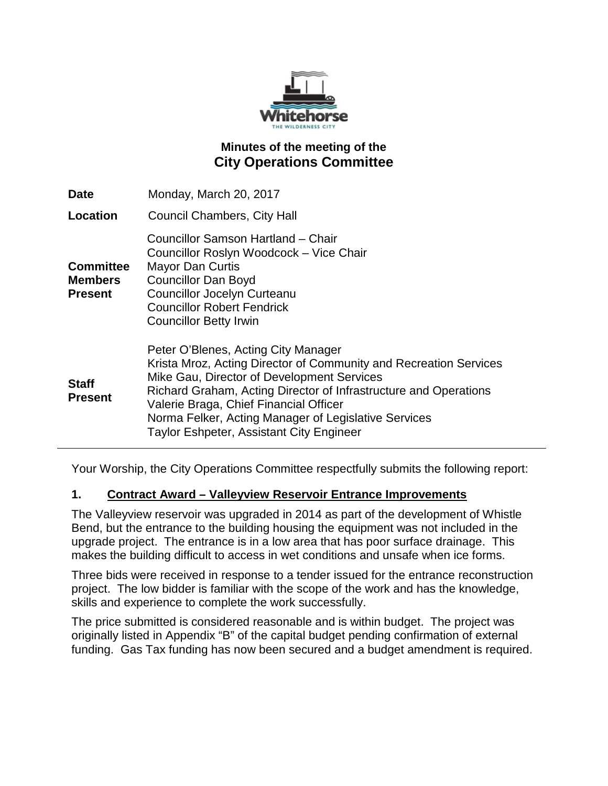

## **Minutes of the meeting of the City Operations Committee**

| <b>Date</b>                                          | Monday, March 20, 2017                                                                                                                                                                                                                                                                                                                                                          |
|------------------------------------------------------|---------------------------------------------------------------------------------------------------------------------------------------------------------------------------------------------------------------------------------------------------------------------------------------------------------------------------------------------------------------------------------|
| <b>Location</b>                                      | <b>Council Chambers, City Hall</b>                                                                                                                                                                                                                                                                                                                                              |
| <b>Committee</b><br><b>Members</b><br><b>Present</b> | Councillor Samson Hartland - Chair<br>Councillor Roslyn Woodcock - Vice Chair<br><b>Mayor Dan Curtis</b><br><b>Councillor Dan Boyd</b><br><b>Councillor Jocelyn Curteanu</b><br><b>Councillor Robert Fendrick</b><br><b>Councillor Betty Irwin</b>                                                                                                                              |
| <b>Staff</b><br><b>Present</b>                       | Peter O'Blenes, Acting City Manager<br>Krista Mroz, Acting Director of Community and Recreation Services<br>Mike Gau, Director of Development Services<br>Richard Graham, Acting Director of Infrastructure and Operations<br>Valerie Braga, Chief Financial Officer<br>Norma Felker, Acting Manager of Legislative Services<br><b>Taylor Eshpeter, Assistant City Engineer</b> |

Your Worship, the City Operations Committee respectfully submits the following report:

### **1. Contract Award – Valleyview Reservoir Entrance Improvements**

The Valleyview reservoir was upgraded in 2014 as part of the development of Whistle Bend, but the entrance to the building housing the equipment was not included in the upgrade project. The entrance is in a low area that has poor surface drainage. This makes the building difficult to access in wet conditions and unsafe when ice forms.

Three bids were received in response to a tender issued for the entrance reconstruction project. The low bidder is familiar with the scope of the work and has the knowledge, skills and experience to complete the work successfully.

The price submitted is considered reasonable and is within budget. The project was originally listed in Appendix "B" of the capital budget pending confirmation of external funding. Gas Tax funding has now been secured and a budget amendment is required.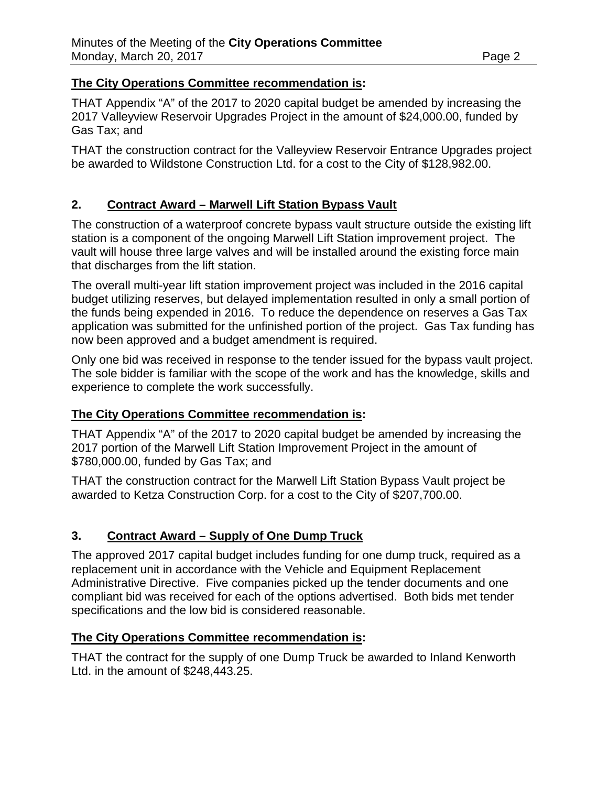#### **The City Operations Committee recommendation is:**

THAT Appendix "A" of the 2017 to 2020 capital budget be amended by increasing the 2017 Valleyview Reservoir Upgrades Project in the amount of \$24,000.00, funded by Gas Tax; and

THAT the construction contract for the Valleyview Reservoir Entrance Upgrades project be awarded to Wildstone Construction Ltd. for a cost to the City of \$128,982.00.

### **2. Contract Award – Marwell Lift Station Bypass Vault**

The construction of a waterproof concrete bypass vault structure outside the existing lift station is a component of the ongoing Marwell Lift Station improvement project. The vault will house three large valves and will be installed around the existing force main that discharges from the lift station.

The overall multi-year lift station improvement project was included in the 2016 capital budget utilizing reserves, but delayed implementation resulted in only a small portion of the funds being expended in 2016. To reduce the dependence on reserves a Gas Tax application was submitted for the unfinished portion of the project. Gas Tax funding has now been approved and a budget amendment is required.

Only one bid was received in response to the tender issued for the bypass vault project. The sole bidder is familiar with the scope of the work and has the knowledge, skills and experience to complete the work successfully.

### **The City Operations Committee recommendation is:**

THAT Appendix "A" of the 2017 to 2020 capital budget be amended by increasing the 2017 portion of the Marwell Lift Station Improvement Project in the amount of \$780,000.00, funded by Gas Tax; and

THAT the construction contract for the Marwell Lift Station Bypass Vault project be awarded to Ketza Construction Corp. for a cost to the City of \$207,700.00.

### **3. Contract Award – Supply of One Dump Truck**

The approved 2017 capital budget includes funding for one dump truck, required as a replacement unit in accordance with the Vehicle and Equipment Replacement Administrative Directive. Five companies picked up the tender documents and one compliant bid was received for each of the options advertised. Both bids met tender specifications and the low bid is considered reasonable.

### **The City Operations Committee recommendation is:**

THAT the contract for the supply of one Dump Truck be awarded to Inland Kenworth Ltd. in the amount of \$248,443.25.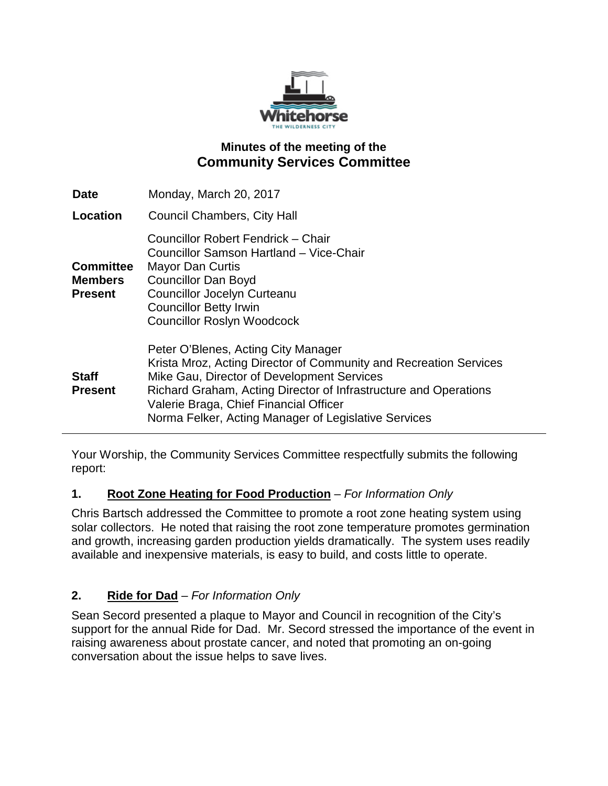

## **Minutes of the meeting of the Community Services Committee**

| <b>Date</b>                                          | Monday, March 20, 2017                                                                                                                                                                                                                                                                                                       |
|------------------------------------------------------|------------------------------------------------------------------------------------------------------------------------------------------------------------------------------------------------------------------------------------------------------------------------------------------------------------------------------|
| Location                                             | Council Chambers, City Hall                                                                                                                                                                                                                                                                                                  |
| <b>Committee</b><br><b>Members</b><br><b>Present</b> | Councillor Robert Fendrick - Chair<br>Councillor Samson Hartland - Vice-Chair<br><b>Mayor Dan Curtis</b><br><b>Councillor Dan Boyd</b><br><b>Councillor Jocelyn Curteanu</b><br><b>Councillor Betty Irwin</b><br><b>Councillor Roslyn Woodcock</b>                                                                           |
| <b>Staff</b><br><b>Present</b>                       | Peter O'Blenes, Acting City Manager<br>Krista Mroz, Acting Director of Community and Recreation Services<br>Mike Gau, Director of Development Services<br>Richard Graham, Acting Director of Infrastructure and Operations<br>Valerie Braga, Chief Financial Officer<br>Norma Felker, Acting Manager of Legislative Services |

Your Worship, the Community Services Committee respectfully submits the following report:

## **1. Root Zone Heating for Food Production** – *For Information Only*

Chris Bartsch addressed the Committee to promote a root zone heating system using solar collectors. He noted that raising the root zone temperature promotes germination and growth, increasing garden production yields dramatically. The system uses readily available and inexpensive materials, is easy to build, and costs little to operate.

## **2. Ride for Dad** – *For Information Only*

Sean Secord presented a plaque to Mayor and Council in recognition of the City's support for the annual Ride for Dad. Mr. Secord stressed the importance of the event in raising awareness about prostate cancer, and noted that promoting an on-going conversation about the issue helps to save lives.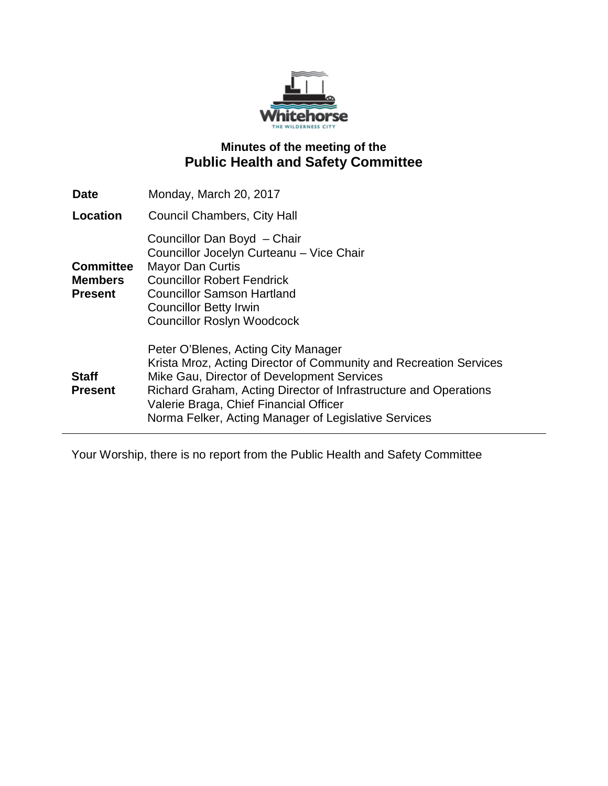

# **Minutes of the meeting of the Public Health and Safety Committee**

| <b>Date</b>                                          | Monday, March 20, 2017                                                                                                                                                                                                                                                                                                       |
|------------------------------------------------------|------------------------------------------------------------------------------------------------------------------------------------------------------------------------------------------------------------------------------------------------------------------------------------------------------------------------------|
| Location                                             | <b>Council Chambers, City Hall</b>                                                                                                                                                                                                                                                                                           |
| <b>Committee</b><br><b>Members</b><br><b>Present</b> | Councillor Dan Boyd - Chair<br>Councillor Jocelyn Curteanu - Vice Chair<br><b>Mayor Dan Curtis</b><br><b>Councillor Robert Fendrick</b><br><b>Councillor Samson Hartland</b><br><b>Councillor Betty Irwin</b><br><b>Councillor Roslyn Woodcock</b>                                                                           |
| <b>Staff</b><br><b>Present</b>                       | Peter O'Blenes, Acting City Manager<br>Krista Mroz, Acting Director of Community and Recreation Services<br>Mike Gau, Director of Development Services<br>Richard Graham, Acting Director of Infrastructure and Operations<br>Valerie Braga, Chief Financial Officer<br>Norma Felker, Acting Manager of Legislative Services |

Your Worship, there is no report from the Public Health and Safety Committee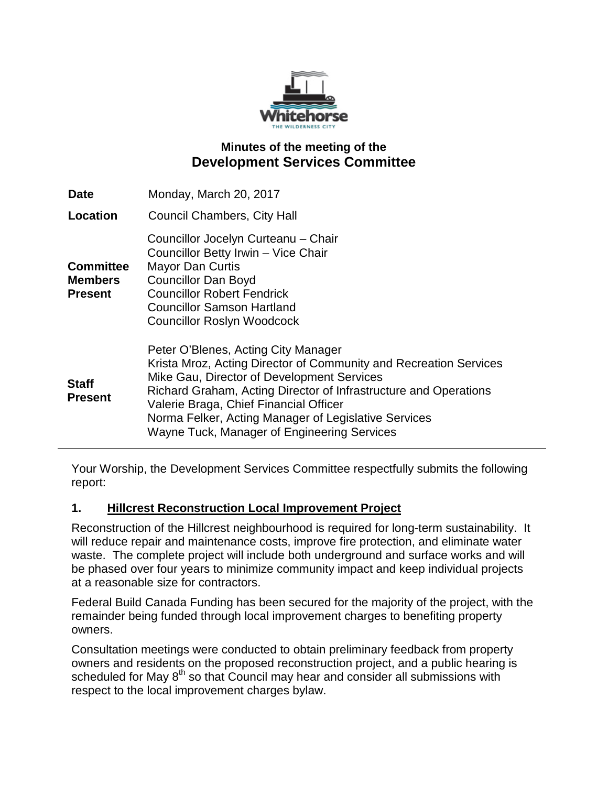

## **Minutes of the meeting of the Development Services Committee**

| <b>Date</b>                                          | Monday, March 20, 2017                                                                                                                                                                                                                                                                                                                                                      |
|------------------------------------------------------|-----------------------------------------------------------------------------------------------------------------------------------------------------------------------------------------------------------------------------------------------------------------------------------------------------------------------------------------------------------------------------|
| Location                                             | <b>Council Chambers, City Hall</b>                                                                                                                                                                                                                                                                                                                                          |
| <b>Committee</b><br><b>Members</b><br><b>Present</b> | Councillor Jocelyn Curteanu - Chair<br>Councillor Betty Irwin - Vice Chair<br><b>Mayor Dan Curtis</b><br><b>Councillor Dan Boyd</b><br><b>Councillor Robert Fendrick</b><br><b>Councillor Samson Hartland</b><br><b>Councillor Roslyn Woodcock</b>                                                                                                                          |
| <b>Staff</b><br><b>Present</b>                       | Peter O'Blenes, Acting City Manager<br>Krista Mroz, Acting Director of Community and Recreation Services<br>Mike Gau, Director of Development Services<br>Richard Graham, Acting Director of Infrastructure and Operations<br>Valerie Braga, Chief Financial Officer<br>Norma Felker, Acting Manager of Legislative Services<br>Wayne Tuck, Manager of Engineering Services |

Your Worship, the Development Services Committee respectfully submits the following report:

### **1. Hillcrest Reconstruction Local Improvement Project**

Reconstruction of the Hillcrest neighbourhood is required for long-term sustainability. It will reduce repair and maintenance costs, improve fire protection, and eliminate water waste. The complete project will include both underground and surface works and will be phased over four years to minimize community impact and keep individual projects at a reasonable size for contractors.

Federal Build Canada Funding has been secured for the majority of the project, with the remainder being funded through local improvement charges to benefiting property owners.

Consultation meetings were conducted to obtain preliminary feedback from property owners and residents on the proposed reconstruction project, and a public hearing is scheduled for May  $8<sup>th</sup>$  so that Council may hear and consider all submissions with respect to the local improvement charges bylaw.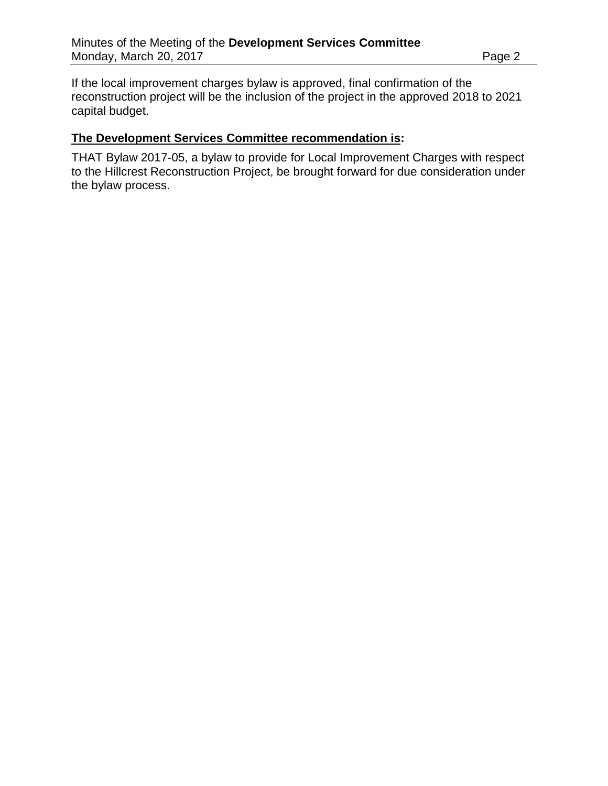If the local improvement charges bylaw is approved, final confirmation of the reconstruction project will be the inclusion of the project in the approved 2018 to 2021 capital budget.

#### **The Development Services Committee recommendation is:**

THAT Bylaw 2017-05, a bylaw to provide for Local Improvement Charges with respect to the Hillcrest Reconstruction Project, be brought forward for due consideration under the bylaw process.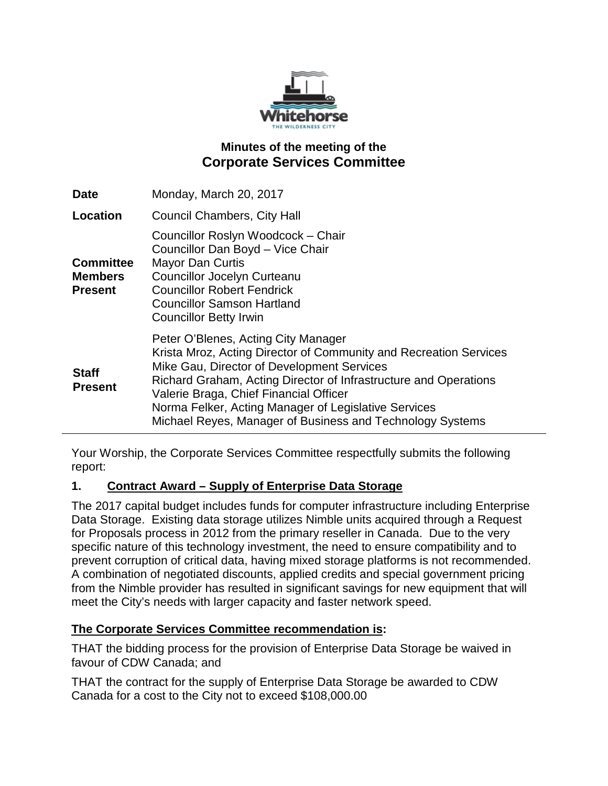

# **Minutes of the meeting of the Corporate Services Committee**

| <b>Date</b>                                          | Monday, March 20, 2017                                                                                                                                                                                                                                                                                                                                                                    |
|------------------------------------------------------|-------------------------------------------------------------------------------------------------------------------------------------------------------------------------------------------------------------------------------------------------------------------------------------------------------------------------------------------------------------------------------------------|
| Location                                             | <b>Council Chambers, City Hall</b>                                                                                                                                                                                                                                                                                                                                                        |
| <b>Committee</b><br><b>Members</b><br><b>Present</b> | Councillor Roslyn Woodcock - Chair<br>Councillor Dan Boyd - Vice Chair<br><b>Mayor Dan Curtis</b><br><b>Councillor Jocelyn Curteanu</b><br><b>Councillor Robert Fendrick</b><br><b>Councillor Samson Hartland</b><br><b>Councillor Betty Irwin</b>                                                                                                                                        |
| <b>Staff</b><br><b>Present</b>                       | Peter O'Blenes, Acting City Manager<br>Krista Mroz, Acting Director of Community and Recreation Services<br>Mike Gau, Director of Development Services<br>Richard Graham, Acting Director of Infrastructure and Operations<br>Valerie Braga, Chief Financial Officer<br>Norma Felker, Acting Manager of Legislative Services<br>Michael Reyes, Manager of Business and Technology Systems |

Your Worship, the Corporate Services Committee respectfully submits the following report:

### **1. Contract Award – Supply of Enterprise Data Storage**

The 2017 capital budget includes funds for computer infrastructure including Enterprise Data Storage. Existing data storage utilizes Nimble units acquired through a Request for Proposals process in 2012 from the primary reseller in Canada. Due to the very specific nature of this technology investment, the need to ensure compatibility and to prevent corruption of critical data, having mixed storage platforms is not recommended. A combination of negotiated discounts, applied credits and special government pricing from the Nimble provider has resulted in significant savings for new equipment that will meet the City's needs with larger capacity and faster network speed.

### **The Corporate Services Committee recommendation is:**

THAT the bidding process for the provision of Enterprise Data Storage be waived in favour of CDW Canada; and

THAT the contract for the supply of Enterprise Data Storage be awarded to CDW Canada for a cost to the City not to exceed \$108,000.00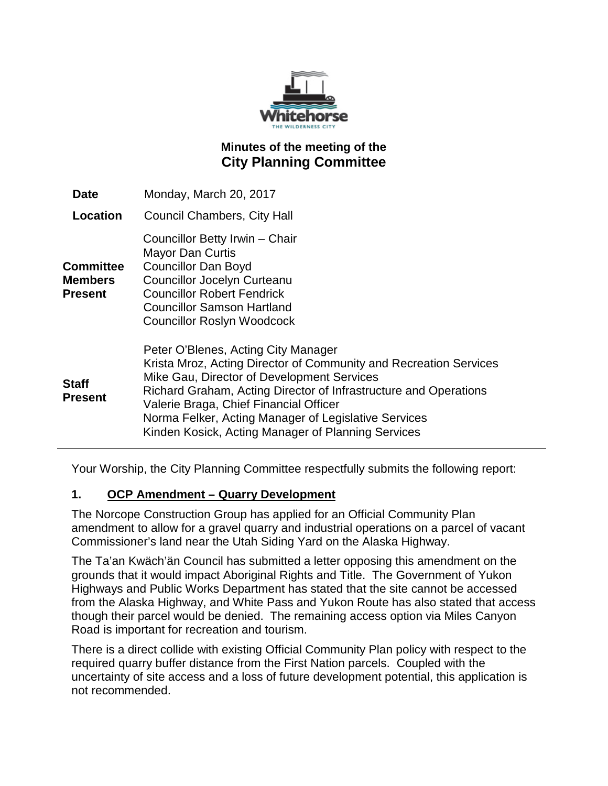

# **Minutes of the meeting of the City Planning Committee**

| <b>Date</b>                                          | Monday, March 20, 2017                                                                                                                                                                                                                                                                                                                                                             |
|------------------------------------------------------|------------------------------------------------------------------------------------------------------------------------------------------------------------------------------------------------------------------------------------------------------------------------------------------------------------------------------------------------------------------------------------|
| Location                                             | <b>Council Chambers, City Hall</b>                                                                                                                                                                                                                                                                                                                                                 |
| <b>Committee</b><br><b>Members</b><br><b>Present</b> | Councillor Betty Irwin - Chair<br><b>Mayor Dan Curtis</b><br><b>Councillor Dan Boyd</b><br><b>Councillor Jocelyn Curteanu</b><br><b>Councillor Robert Fendrick</b><br><b>Councillor Samson Hartland</b><br><b>Councillor Roslyn Woodcock</b>                                                                                                                                       |
| Staff<br><b>Present</b>                              | Peter O'Blenes, Acting City Manager<br>Krista Mroz, Acting Director of Community and Recreation Services<br>Mike Gau, Director of Development Services<br>Richard Graham, Acting Director of Infrastructure and Operations<br>Valerie Braga, Chief Financial Officer<br>Norma Felker, Acting Manager of Legislative Services<br>Kinden Kosick, Acting Manager of Planning Services |

Your Worship, the City Planning Committee respectfully submits the following report:

### **1. OCP Amendment – Quarry Development**

The Norcope Construction Group has applied for an Official Community Plan amendment to allow for a gravel quarry and industrial operations on a parcel of vacant Commissioner's land near the Utah Siding Yard on the Alaska Highway.

The Ta'an Kwäch'än Council has submitted a letter opposing this amendment on the grounds that it would impact Aboriginal Rights and Title. The Government of Yukon Highways and Public Works Department has stated that the site cannot be accessed from the Alaska Highway, and White Pass and Yukon Route has also stated that access though their parcel would be denied. The remaining access option via Miles Canyon Road is important for recreation and tourism.

There is a direct collide with existing Official Community Plan policy with respect to the required quarry buffer distance from the First Nation parcels. Coupled with the uncertainty of site access and a loss of future development potential, this application is not recommended.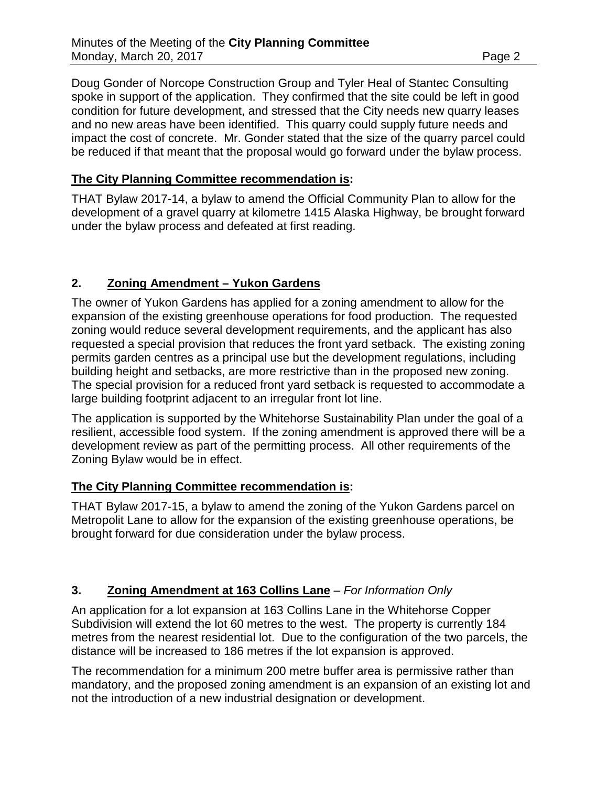Doug Gonder of Norcope Construction Group and Tyler Heal of Stantec Consulting spoke in support of the application. They confirmed that the site could be left in good condition for future development, and stressed that the City needs new quarry leases and no new areas have been identified. This quarry could supply future needs and impact the cost of concrete. Mr. Gonder stated that the size of the quarry parcel could be reduced if that meant that the proposal would go forward under the bylaw process.

### **The City Planning Committee recommendation is:**

THAT Bylaw 2017-14, a bylaw to amend the Official Community Plan to allow for the development of a gravel quarry at kilometre 1415 Alaska Highway, be brought forward under the bylaw process and defeated at first reading.

### **2. Zoning Amendment – Yukon Gardens**

The owner of Yukon Gardens has applied for a zoning amendment to allow for the expansion of the existing greenhouse operations for food production. The requested zoning would reduce several development requirements, and the applicant has also requested a special provision that reduces the front yard setback. The existing zoning permits garden centres as a principal use but the development regulations, including building height and setbacks, are more restrictive than in the proposed new zoning. The special provision for a reduced front yard setback is requested to accommodate a large building footprint adjacent to an irregular front lot line.

The application is supported by the Whitehorse Sustainability Plan under the goal of a resilient, accessible food system. If the zoning amendment is approved there will be a development review as part of the permitting process. All other requirements of the Zoning Bylaw would be in effect.

### **The City Planning Committee recommendation is:**

THAT Bylaw 2017-15, a bylaw to amend the zoning of the Yukon Gardens parcel on Metropolit Lane to allow for the expansion of the existing greenhouse operations, be brought forward for due consideration under the bylaw process.

### **3. Zoning Amendment at 163 Collins Lane** – *For Information Only*

An application for a lot expansion at 163 Collins Lane in the Whitehorse Copper Subdivision will extend the lot 60 metres to the west. The property is currently 184 metres from the nearest residential lot. Due to the configuration of the two parcels, the distance will be increased to 186 metres if the lot expansion is approved.

The recommendation for a minimum 200 metre buffer area is permissive rather than mandatory, and the proposed zoning amendment is an expansion of an existing lot and not the introduction of a new industrial designation or development.